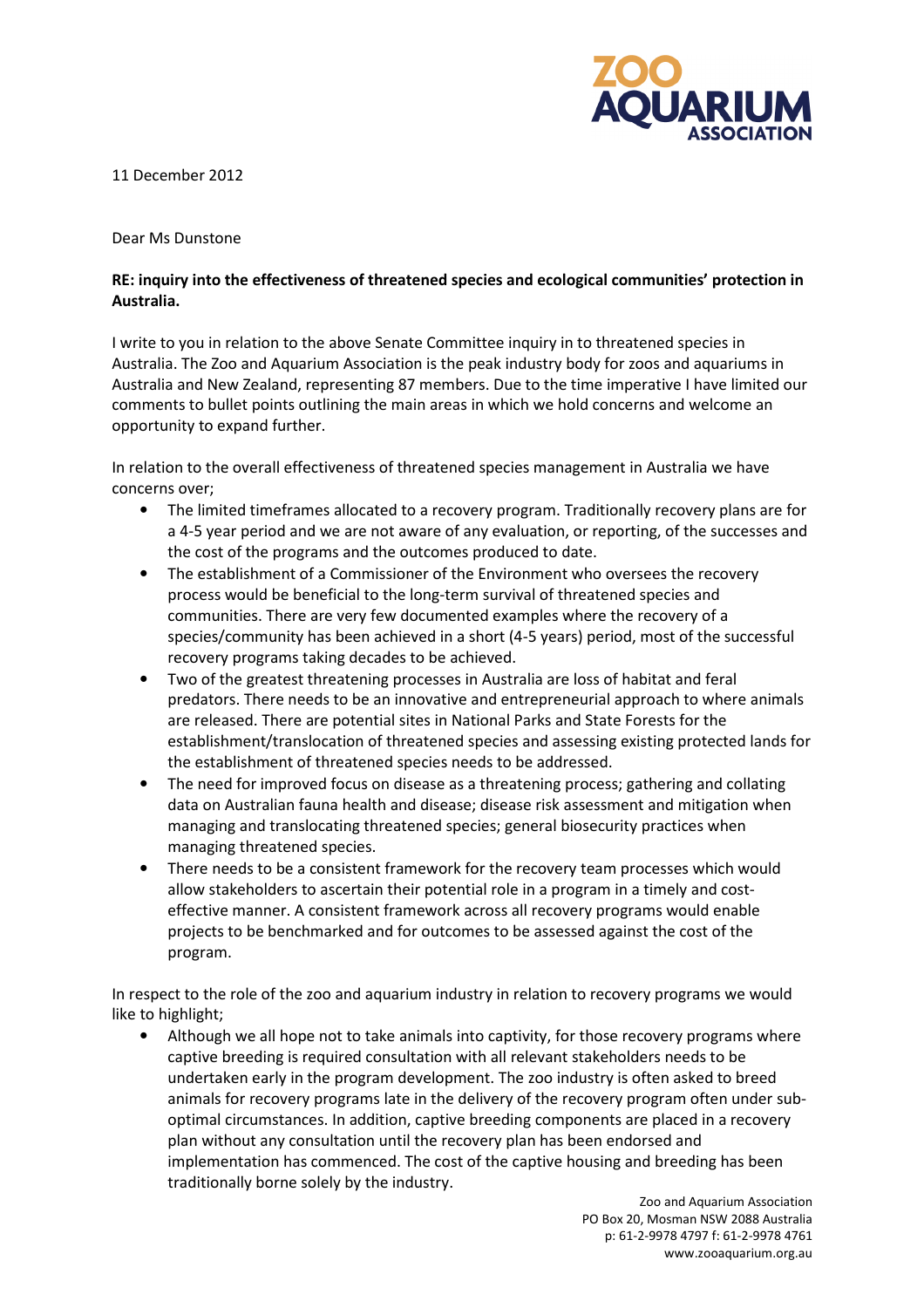

11 December 2012

## Dear Ms Dunstone

## RE: inquiry into the effectiveness of threatened species and ecological communities' protection in Australia.

I write to you in relation to the above Senate Committee inquiry in to threatened species in Australia. The Zoo and Aquarium Association is the peak industry body for zoos and aquariums in Australia and New Zealand, representing 87 members. Due to the time imperative I have limited our comments to bullet points outlining the main areas in which we hold concerns and welcome an opportunity to expand further.

In relation to the overall effectiveness of threatened species management in Australia we have concerns over;

- The limited timeframes allocated to a recovery program. Traditionally recovery plans are for a 4-5 year period and we are not aware of any evaluation, or reporting, of the successes and the cost of the programs and the outcomes produced to date.
- The establishment of a Commissioner of the Environment who oversees the recovery process would be beneficial to the long-term survival of threatened species and communities. There are very few documented examples where the recovery of a species/community has been achieved in a short (4-5 years) period, most of the successful recovery programs taking decades to be achieved.
- Two of the greatest threatening processes in Australia are loss of habitat and feral predators. There needs to be an innovative and entrepreneurial approach to where animals are released. There are potential sites in National Parks and State Forests for the establishment/translocation of threatened species and assessing existing protected lands for the establishment of threatened species needs to be addressed.
- The need for improved focus on disease as a threatening process; gathering and collating data on Australian fauna health and disease; disease risk assessment and mitigation when managing and translocating threatened species; general biosecurity practices when managing threatened species.
- There needs to be a consistent framework for the recovery team processes which would allow stakeholders to ascertain their potential role in a program in a timely and costeffective manner. A consistent framework across all recovery programs would enable projects to be benchmarked and for outcomes to be assessed against the cost of the program.

In respect to the role of the zoo and aquarium industry in relation to recovery programs we would like to highlight;

• Although we all hope not to take animals into captivity, for those recovery programs where captive breeding is required consultation with all relevant stakeholders needs to be undertaken early in the program development. The zoo industry is often asked to breed animals for recovery programs late in the delivery of the recovery program often under suboptimal circumstances. In addition, captive breeding components are placed in a recovery plan without any consultation until the recovery plan has been endorsed and implementation has commenced. The cost of the captive housing and breeding has been traditionally borne solely by the industry.

> Zoo and Aquarium Association PO Box 20, Mosman NSW 2088 Australia p: 61-2-9978 4797 f: 61-2-9978 4761 www.zooaquarium.org.au